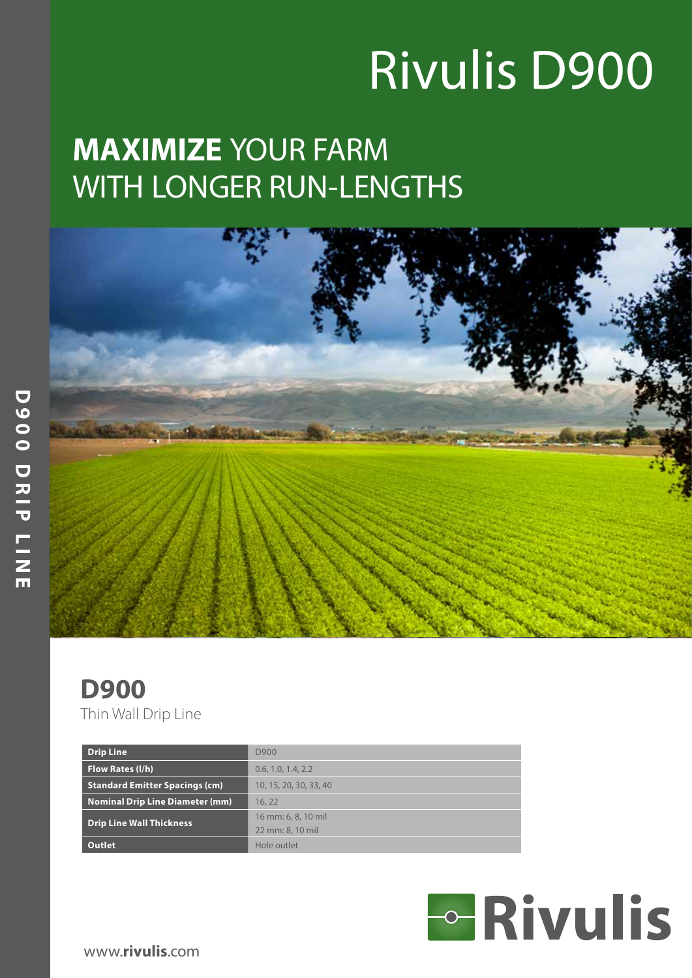# Rivulis D900

## **MAXIMIZE** YOUR FARM WITH LONGER RUN-LENGTHS



#### **D900** Thin Wall Drip Line

| <b>Drip Line</b>                       | D900                   |
|----------------------------------------|------------------------|
| Flow Rates (I/h)                       | 0.6, 1.0, 1.4, 2.2     |
| <b>Standard Emitter Spacings (cm)</b>  | 10, 15, 20, 30, 33, 40 |
| <b>Nominal Drip Line Diameter (mm)</b> | 16.22                  |
| <b>Drip Line Wall Thickness</b>        | 16 mm: 6, 8, 10 mil    |
|                                        | 22 mm: 8, 10 mil       |
| Outlet                                 | Hole outlet            |



www.**rivulis**.com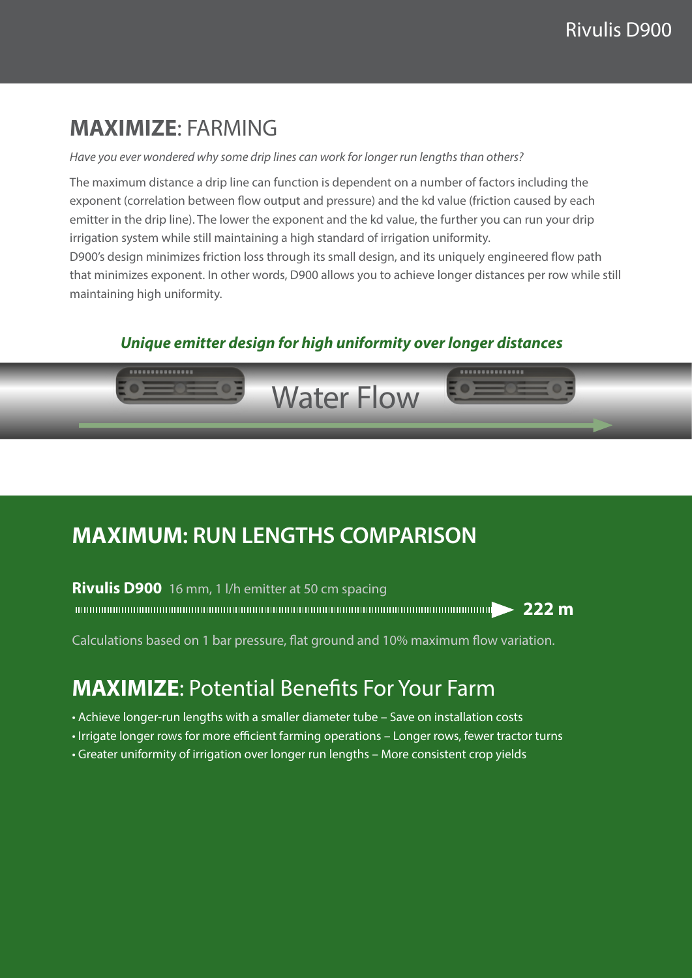### **MAXIMIZE**: FARMING

#### *Have you ever wondered why some drip lines can work for longer run lengths than others?*

The maximum distance a drip line can function is dependent on a number of factors including the exponent (correlation between flow output and pressure) and the kd value (friction caused by each emitter in the drip line). The lower the exponent and the kd value, the further you can run your drip irrigation system while still maintaining a high standard of irrigation uniformity.

D900's design minimizes friction loss through its small design, and its uniquely engineered flow path that minimizes exponent. In other words, D900 allows you to achieve longer distances per row while still maintaining high uniformity.

#### *Unique emitter design for high uniformity over longer distances*



### **MAXIMUM: RUN LENGTHS COMPARISON**

#### **Rivulis D900** 16 mm, 1 l/h emitter at 50 cm spacing

**222 m**

Calculations based on 1 bar pressure, flat ground and 10% maximum flow variation.

#### **MAXIMIZE**: Potential Benefits For Your Farm

- *•* Achieve longer-run lengths with a smaller diameter tube Save on installation costs
- *•* Irrigate longer rows for more efficient farming operations Longer rows, fewer tractor turns
- *•* Greater uniformity of irrigation over longer run lengths More consistent crop yields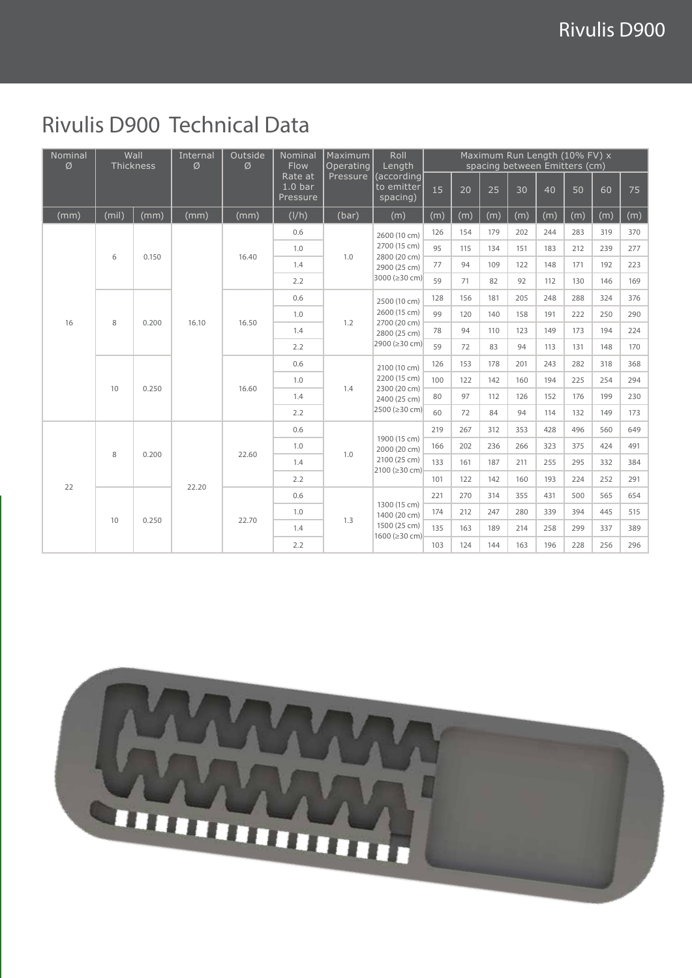### Rivulis D900 Technical Data

| Nominal<br>Ø | Wall<br>Thickness |       | Internal<br>Ø | Outside<br>Ø | Nominal<br>Flow<br>Rate at<br>1.0 <sub>bar</sub><br>Pressure | Maximum<br>Operating<br>Pressure | Roll<br>Length                                                                | Maximum Run Length (10% FV) x<br>spacing between Emitters (cm) |     |     |     |     |     |     |     |
|--------------|-------------------|-------|---------------|--------------|--------------------------------------------------------------|----------------------------------|-------------------------------------------------------------------------------|----------------------------------------------------------------|-----|-----|-----|-----|-----|-----|-----|
|              |                   |       |               |              |                                                              |                                  | (according<br>to emitter<br>spacing)                                          | 15                                                             | 20  | 25  | 30  | 40  | 50  | 60  | 75  |
| (mm)         | (mil)             | (mm)  | (mm)          | (mm)         | (I/h)                                                        | (bar)                            | (m)                                                                           | (m)                                                            | (m) | (m) | (m) | (m) | (m) | (m) | (m) |
| 16           | 6                 | 0.150 | 16.10         | 16.40        | 0.6                                                          | 1.0                              | 2600 (10 cm)<br>2700 (15 cm)<br>2800 (20 cm)<br>2900 (25 cm)<br>3000 (≥30 cm) | 126                                                            | 154 | 179 | 202 | 244 | 283 | 319 | 370 |
|              |                   |       |               |              | 1.0                                                          |                                  |                                                                               | 95                                                             | 115 | 134 | 151 | 183 | 212 | 239 | 277 |
|              |                   |       |               |              | 1.4                                                          |                                  |                                                                               | 77                                                             | 94  | 109 | 122 | 148 | 171 | 192 | 223 |
|              |                   |       |               |              | 2.2                                                          |                                  |                                                                               | 59                                                             | 71  | 82  | 92  | 112 | 130 | 146 | 169 |
|              | 8                 | 0.200 |               | 16.50        | 0.6                                                          | 1.2                              | 2500 (10 cm)<br>2600 (15 cm)<br>2700 (20 cm)<br>2800 (25 cm)<br>2900 (≥30 cm) | 128                                                            | 156 | 181 | 205 | 248 | 288 | 324 | 376 |
|              |                   |       |               |              | 1.0                                                          |                                  |                                                                               | 99                                                             | 120 | 140 | 158 | 191 | 222 | 250 | 290 |
|              |                   |       |               |              | 1.4                                                          |                                  |                                                                               | 78                                                             | 94  | 110 | 123 | 149 | 173 | 194 | 224 |
|              |                   |       |               |              | 2.2                                                          |                                  |                                                                               | 59                                                             | 72  | 83  | 94  | 113 | 131 | 148 | 170 |
|              | 10                | 0.250 |               | 16.60        | 0.6                                                          | 1.4                              | 2100 (10 cm)<br>2200 (15 cm)<br>2300 (20 cm)<br>2400 (25 cm)<br>2500 (≥30 cm) | 126                                                            | 153 | 178 | 201 | 243 | 282 | 318 | 368 |
|              |                   |       |               |              | 1.0                                                          |                                  |                                                                               | 100                                                            | 122 | 142 | 160 | 194 | 225 | 254 | 294 |
|              |                   |       |               |              | 1.4                                                          |                                  |                                                                               | 80                                                             | 97  | 112 | 126 | 152 | 176 | 199 | 230 |
|              |                   |       |               |              | 2.2                                                          |                                  |                                                                               | 60                                                             | 72  | 84  | 94  | 114 | 132 | 149 | 173 |
| 22           | 8                 | 0.200 | 22.20         | 22.60        | 0.6                                                          | 1.0                              | 1900 (15 cm)<br>2000 (20 cm)<br>2100 (25 cm)<br>2100 (≥30 cm)                 | 219                                                            | 267 | 312 | 353 | 428 | 496 | 560 | 649 |
|              |                   |       |               |              | 1.0                                                          |                                  |                                                                               | 166                                                            | 202 | 236 | 266 | 323 | 375 | 424 | 491 |
|              |                   |       |               |              | 1.4                                                          |                                  |                                                                               | 133                                                            | 161 | 187 | 211 | 255 | 295 | 332 | 384 |
|              |                   |       |               |              | 2.2                                                          |                                  |                                                                               | 101                                                            | 122 | 142 | 160 | 193 | 224 | 252 | 291 |
|              | 10                | 0.250 |               | 22.70        | 0.6                                                          | 1.3                              | 1300 (15 cm)<br>1400 (20 cm)<br>1500 (25 cm)<br>1600 (≥30 cm)                 | 221                                                            | 270 | 314 | 355 | 431 | 500 | 565 | 654 |
|              |                   |       |               |              | 1.0                                                          |                                  |                                                                               | 174                                                            | 212 | 247 | 280 | 339 | 394 | 445 | 515 |
|              |                   |       |               |              | 1.4                                                          |                                  |                                                                               | 135                                                            | 163 | 189 | 214 | 258 | 299 | 337 | 389 |
|              |                   |       |               |              | 2.2                                                          |                                  |                                                                               | 103                                                            | 124 | 144 | 163 | 196 | 228 | 256 | 296 |